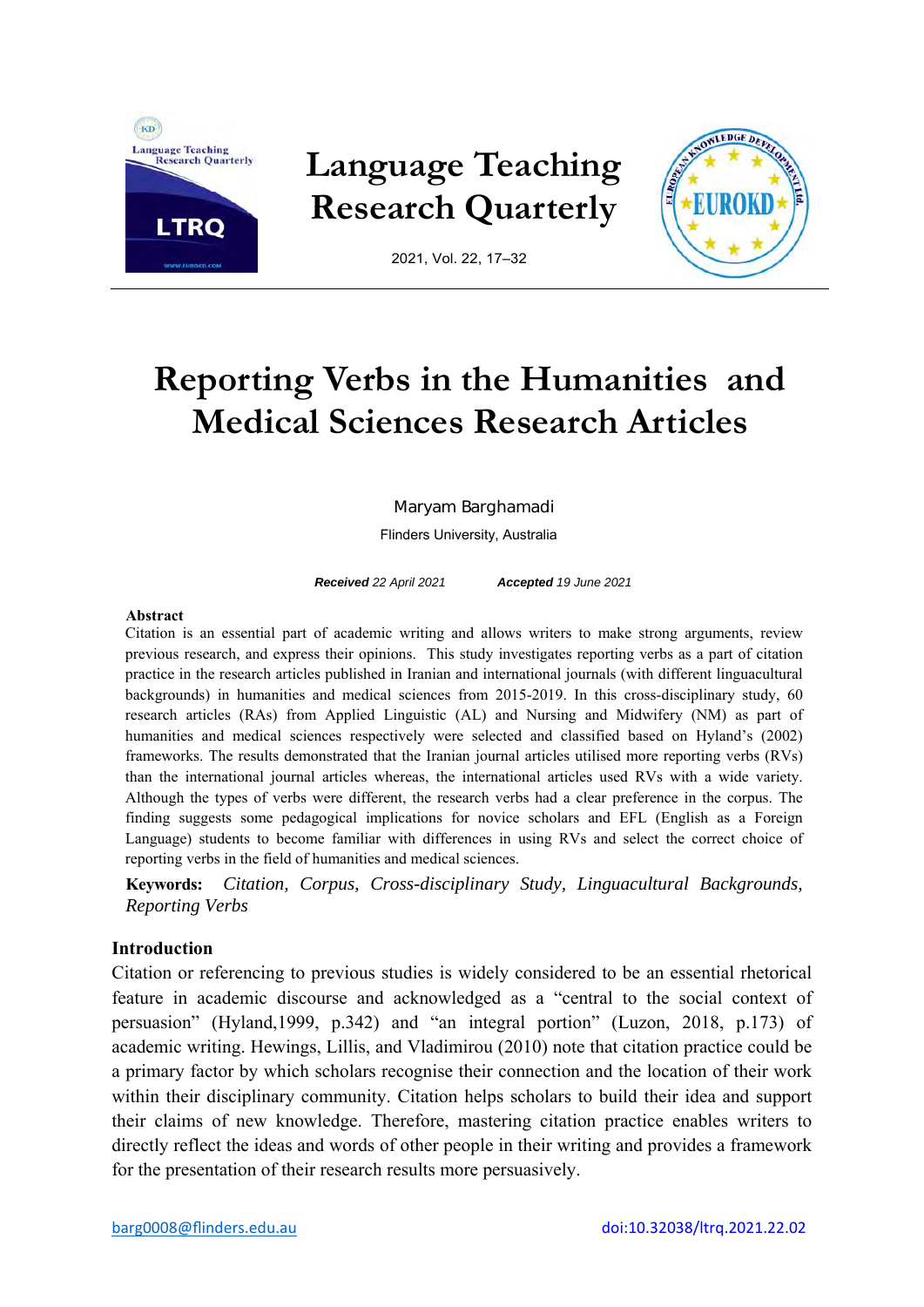

# **Language Teaching Research Quarterly**



2021, Vol. 22, 17–32

# **Reporting Verbs in the Humanities and Medical Sciences Research Articles**

Maryam Barghamadi

Flinders University, Australia

*Received 22 April 2021 Accepted 19 June 2021* 

## **Abstract**

Citation is an essential part of academic writing and allows writers to make strong arguments, review previous research, and express their opinions. This study investigates reporting verbs as a part of citation practice in the research articles published in Iranian and international journals (with different linguacultural backgrounds) in humanities and medical sciences from 2015-2019. In this cross-disciplinary study, 60 research articles (RAs) from Applied Linguistic (AL) and Nursing and Midwifery (NM) as part of humanities and medical sciences respectively were selected and classified based on Hyland's (2002) frameworks. The results demonstrated that the Iranian journal articles utilised more reporting verbs (RVs) than the international journal articles whereas, the international articles used RVs with a wide variety. Although the types of verbs were different, the research verbs had a clear preference in the corpus. The finding suggests some pedagogical implications for novice scholars and EFL (English as a Foreign Language) students to become familiar with differences in using RVs and select the correct choice of reporting verbs in the field of humanities and medical sciences.

**Keywords:** *Citation, Corpus, Cross-disciplinary Study, Linguacultural Backgrounds, Reporting Verbs* 

# **Introduction**

Citation or referencing to previous studies is widely considered to be an essential rhetorical feature in academic discourse and acknowledged as a "central to the social context of persuasion" (Hyland,1999, p.342) and "an integral portion" (Luzon, 2018, p.173) of academic writing. Hewings, Lillis, and Vladimirou (2010) note that citation practice could be a primary factor by which scholars recognise their connection and the location of their work within their disciplinary community. Citation helps scholars to build their idea and support their claims of new knowledge. Therefore, mastering citation practice enables writers to directly reflect the ideas and words of other people in their writing and provides a framework for the presentation of their research results more persuasively.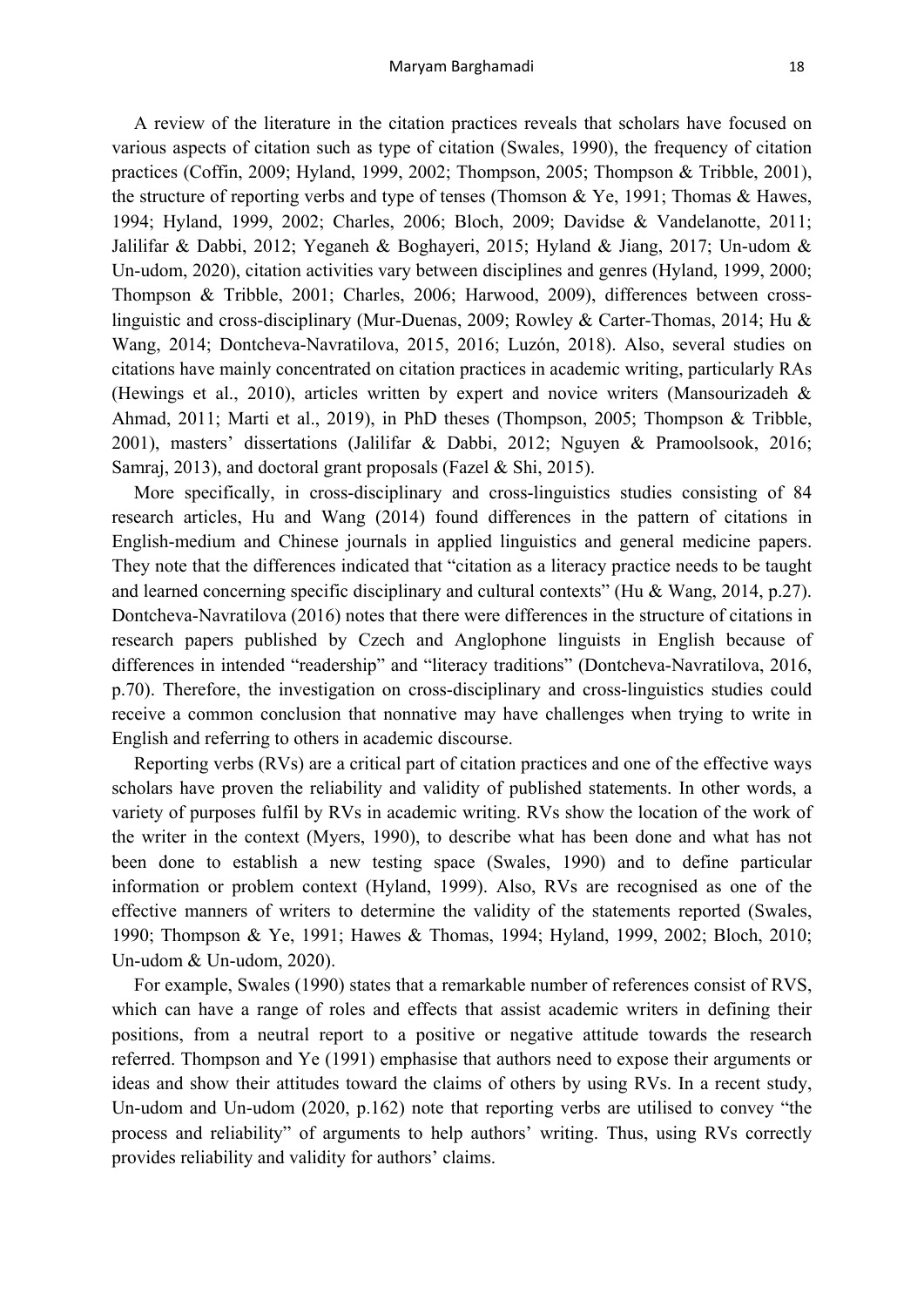A review of the literature in the citation practices reveals that scholars have focused on various aspects of citation such as type of citation (Swales, 1990), the frequency of citation practices (Coffin, 2009; Hyland, 1999, 2002; Thompson, 2005; Thompson & Tribble, 2001), the structure of reporting verbs and type of tenses (Thomson & Ye, 1991; Thomas & Hawes, 1994; Hyland, 1999, 2002; Charles, 2006; Bloch, 2009; Davidse & Vandelanotte, 2011; Jalilifar & Dabbi, 2012; Yeganeh & Boghayeri, 2015; Hyland & Jiang, 2017; Un-udom & Un-udom, 2020), citation activities vary between disciplines and genres (Hyland, 1999, 2000; Thompson & Tribble, 2001; Charles, 2006; Harwood, 2009), differences between crosslinguistic and cross-disciplinary (Mur-Duenas, 2009; Rowley & Carter-Thomas, 2014; Hu & Wang, 2014; Dontcheva-Navratilova, 2015, 2016; Luzón, 2018). Also, several studies on citations have mainly concentrated on citation practices in academic writing, particularly RAs (Hewings et al., 2010), articles written by expert and novice writers (Mansourizadeh & Ahmad, 2011; Marti et al., 2019), in PhD theses (Thompson, 2005; Thompson & Tribble, 2001), masters' dissertations (Jalilifar & Dabbi, 2012; Nguyen & Pramoolsook, 2016; Samraj, 2013), and doctoral grant proposals (Fazel & Shi, 2015).

More specifically, in cross-disciplinary and cross-linguistics studies consisting of 84 research articles, Hu and Wang (2014) found differences in the pattern of citations in English-medium and Chinese journals in applied linguistics and general medicine papers. They note that the differences indicated that "citation as a literacy practice needs to be taught and learned concerning specific disciplinary and cultural contexts" (Hu & Wang, 2014, p.27). Dontcheva-Navratilova (2016) notes that there were differences in the structure of citations in research papers published by Czech and Anglophone linguists in English because of differences in intended "readership" and "literacy traditions" (Dontcheva-Navratilova, 2016, p.70). Therefore, the investigation on cross-disciplinary and cross-linguistics studies could receive a common conclusion that nonnative may have challenges when trying to write in English and referring to others in academic discourse.

Reporting verbs (RVs) are a critical part of citation practices and one of the effective ways scholars have proven the reliability and validity of published statements. In other words, a variety of purposes fulfil by RVs in academic writing. RVs show the location of the work of the writer in the context (Myers, 1990), to describe what has been done and what has not been done to establish a new testing space (Swales, 1990) and to define particular information or problem context (Hyland, 1999). Also, RVs are recognised as one of the effective manners of writers to determine the validity of the statements reported (Swales, 1990; Thompson & Ye, 1991; Hawes & Thomas, 1994; Hyland, 1999, 2002; Bloch, 2010; Un-udom & Un-udom, 2020).

For example, Swales (1990) states that a remarkable number of references consist of RVS, which can have a range of roles and effects that assist academic writers in defining their positions, from a neutral report to a positive or negative attitude towards the research referred. Thompson and Ye (1991) emphasise that authors need to expose their arguments or ideas and show their attitudes toward the claims of others by using RVs. In a recent study, Un-udom and Un-udom (2020, p.162) note that reporting verbs are utilised to convey "the process and reliability" of arguments to help authors' writing. Thus, using RVs correctly provides reliability and validity for authors' claims.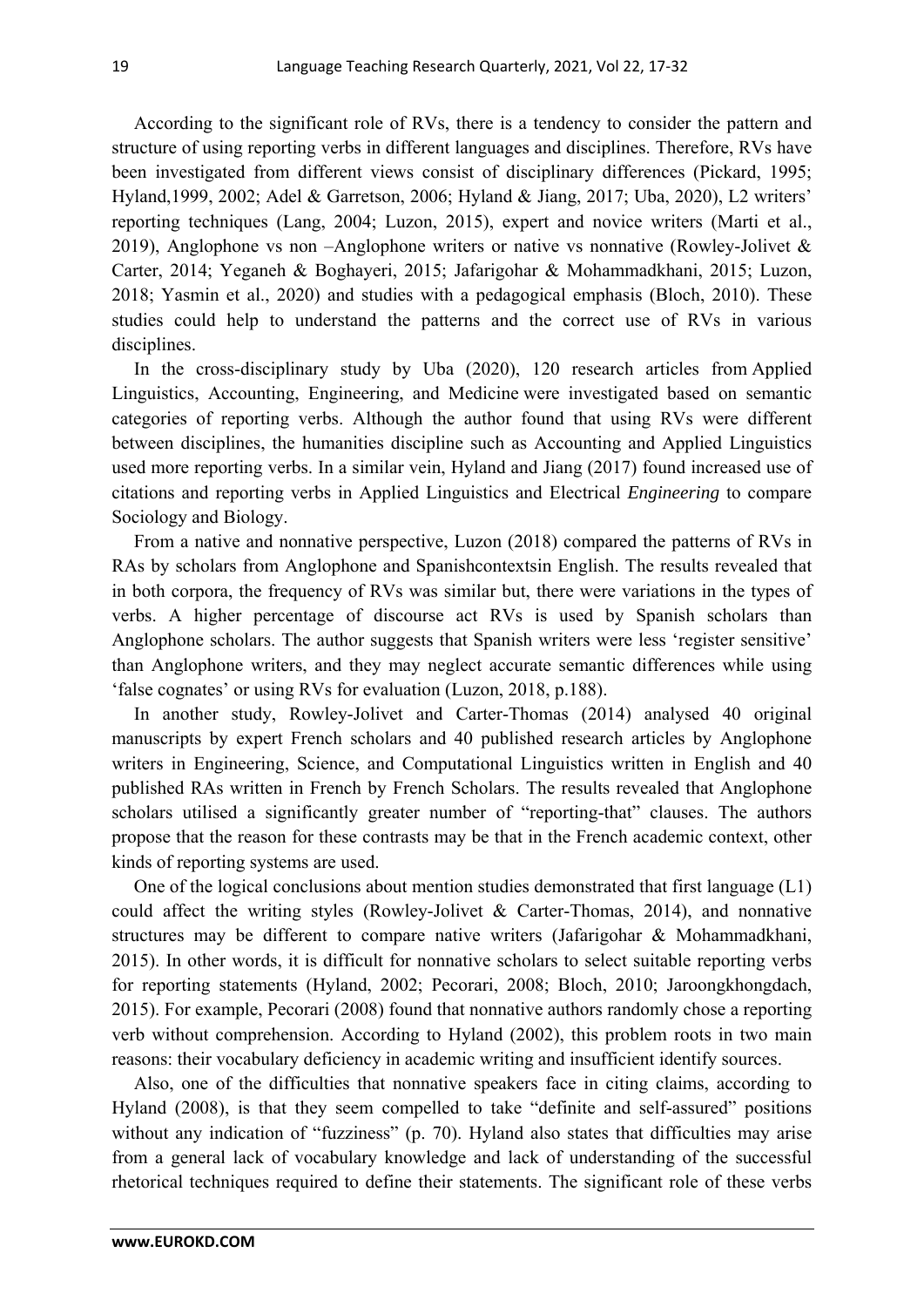According to the significant role of RVs, there is a tendency to consider the pattern and structure of using reporting verbs in different languages and disciplines. Therefore, RVs have been investigated from different views consist of disciplinary differences (Pickard, 1995; Hyland,1999, 2002; Adel & Garretson, 2006; Hyland & Jiang, 2017; Uba, 2020), L2 writers' reporting techniques (Lang, 2004; Luzon, 2015), expert and novice writers (Marti et al., 2019), Anglophone vs non –Anglophone writers or native vs nonnative (Rowley-Jolivet  $\&$ Carter, 2014; Yeganeh & Boghayeri, 2015; Jafarigohar & Mohammadkhani, 2015; Luzon, 2018; Yasmin et al., 2020) and studies with a pedagogical emphasis (Bloch, 2010). These studies could help to understand the patterns and the correct use of RVs in various disciplines.

In the cross-disciplinary study by Uba (2020), 120 research articles from Applied Linguistics, Accounting, Engineering, and Medicine were investigated based on semantic categories of reporting verbs. Although the author found that using RVs were different between disciplines, the humanities discipline such as Accounting and Applied Linguistics used more reporting verbs. In a similar vein, Hyland and Jiang (2017) found increased use of citations and reporting verbs in Applied Linguistics and Electrical *Engineering* to compare Sociology and Biology.

From a native and nonnative perspective, Luzon (2018) compared the patterns of RVs in RAs by scholars from Anglophone and Spanishcontextsin English. The results revealed that in both corpora, the frequency of RVs was similar but, there were variations in the types of verbs. A higher percentage of discourse act RVs is used by Spanish scholars than Anglophone scholars. The author suggests that Spanish writers were less 'register sensitive' than Anglophone writers, and they may neglect accurate semantic differences while using 'false cognates' or using RVs for evaluation (Luzon, 2018, p.188).

In another study, Rowley-Jolivet and Carter-Thomas (2014) analysed 40 original manuscripts by expert French scholars and 40 published research articles by Anglophone writers in Engineering, Science, and Computational Linguistics written in English and 40 published RAs written in French by French Scholars. The results revealed that Anglophone scholars utilised a significantly greater number of "reporting-that" clauses. The authors propose that the reason for these contrasts may be that in the French academic context, other kinds of reporting systems are used.

One of the logical conclusions about mention studies demonstrated that first language (L1) could affect the writing styles (Rowley-Jolivet & Carter-Thomas, 2014), and nonnative structures may be different to compare native writers (Jafarigohar & Mohammadkhani, 2015). In other words, it is difficult for nonnative scholars to select suitable reporting verbs for reporting statements (Hyland, 2002; Pecorari, 2008; Bloch, 2010; Jaroongkhongdach, 2015). For example, Pecorari (2008) found that nonnative authors randomly chose a reporting verb without comprehension. According to Hyland (2002), this problem roots in two main reasons: their vocabulary deficiency in academic writing and insufficient identify sources.

Also, one of the difficulties that nonnative speakers face in citing claims, according to Hyland (2008), is that they seem compelled to take "definite and self-assured" positions without any indication of "fuzziness" (p. 70). Hyland also states that difficulties may arise from a general lack of vocabulary knowledge and lack of understanding of the successful rhetorical techniques required to define their statements. The significant role of these verbs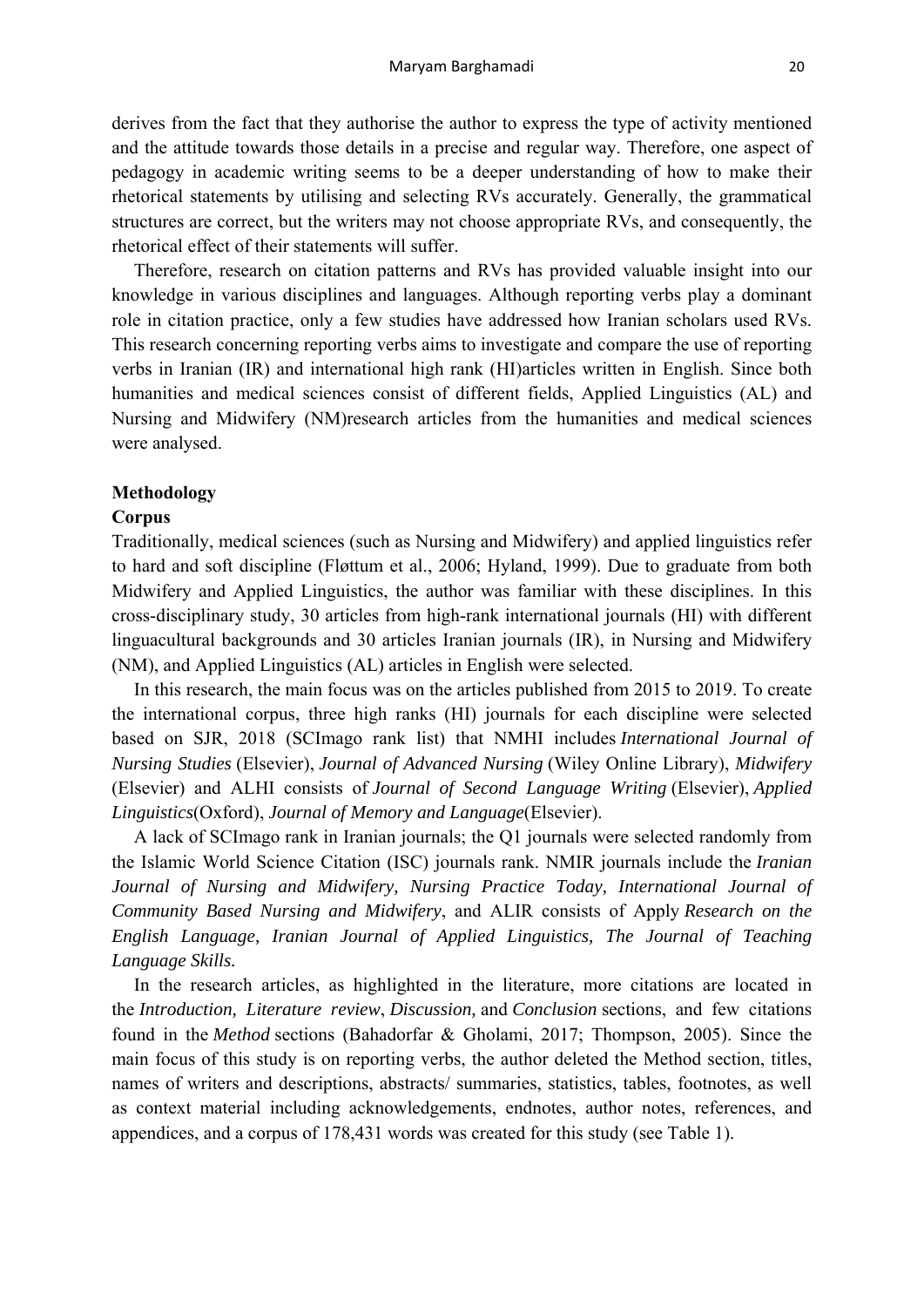derives from the fact that they authorise the author to express the type of activity mentioned and the attitude towards those details in a precise and regular way. Therefore, one aspect of pedagogy in academic writing seems to be a deeper understanding of how to make their rhetorical statements by utilising and selecting RVs accurately. Generally, the grammatical structures are correct, but the writers may not choose appropriate RVs, and consequently, the rhetorical effect of their statements will suffer.

Therefore, research on citation patterns and RVs has provided valuable insight into our knowledge in various disciplines and languages. Although reporting verbs play a dominant role in citation practice, only a few studies have addressed how Iranian scholars used RVs. This research concerning reporting verbs aims to investigate and compare the use of reporting verbs in Iranian (IR) and international high rank (HI)articles written in English. Since both humanities and medical sciences consist of different fields, Applied Linguistics (AL) and Nursing and Midwifery (NM)research articles from the humanities and medical sciences were analysed.

# **Methodology**

# **Corpus**

Traditionally, medical sciences (such as Nursing and Midwifery) and applied linguistics refer to hard and soft discipline (Fløttum et al., 2006; Hyland, 1999). Due to graduate from both Midwifery and Applied Linguistics, the author was familiar with these disciplines. In this cross-disciplinary study, 30 articles from high-rank international journals (HI) with different linguacultural backgrounds and 30 articles Iranian journals (IR), in Nursing and Midwifery (NM), and Applied Linguistics (AL) articles in English were selected.

In this research, the main focus was on the articles published from 2015 to 2019. To create the international corpus, three high ranks (HI) journals for each discipline were selected based on SJR, 2018 (SCImago rank list) that NMHI includes *International Journal of Nursing Studies* (Elsevier), *Journal of Advanced Nursing* (Wiley Online Library), *Midwifery* (Elsevier) and ALHI consists of *Journal of Second Language Writing* (Elsevier), *Applied Linguistics*(Oxford), *Journal of Memory and Language*(Elsevier).

A lack of SCImago rank in Iranian journals; the Q1 journals were selected randomly from the Islamic World Science Citation (ISC) journals rank. NMIR journals include the *Iranian Journal of Nursing and Midwifery, Nursing Practice Today, International Journal of Community Based Nursing and Midwifery*, and ALIR consists of Apply *Research on the English Language, Iranian Journal of Applied Linguistics, The Journal of Teaching Language Skills.*

In the research articles, as highlighted in the literature, more citations are located in the *Introduction, Literature review*, *Discussion,* and *Conclusion* sections, and few citations found in the *Method* sections (Bahadorfar & Gholami, 2017; Thompson, 2005). Since the main focus of this study is on reporting verbs, the author deleted the Method section, titles, names of writers and descriptions, abstracts/ summaries, statistics, tables, footnotes, as well as context material including acknowledgements, endnotes, author notes, references, and appendices, and a corpus of 178,431 words was created for this study (see Table 1).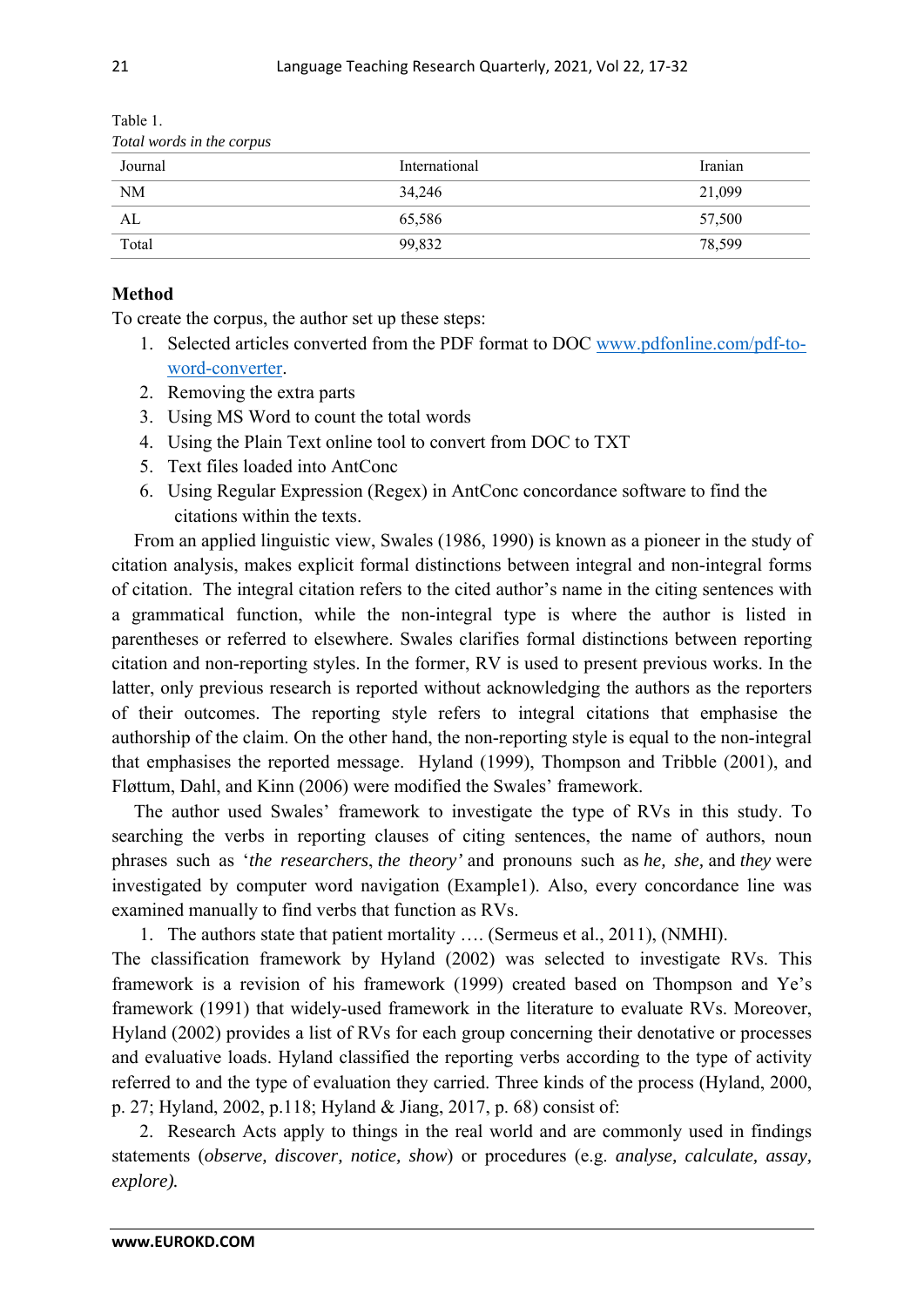| Total words in the corpus |               |         |  |  |
|---------------------------|---------------|---------|--|--|
| Journal                   | International | Iranian |  |  |
| <b>NM</b>                 | 34,246        | 21,099  |  |  |
| AL                        | 65,586        | 57,500  |  |  |
| Total                     | 99,832        | 78,599  |  |  |

Table 1.

# **Method**

To create the corpus, the author set up these steps:

- 1. Selected articles converted from the PDF format to DOC www.pdfonline.com/pdf-toword-converter.
- 2. Removing the extra parts
- 3. Using MS Word to count the total words
- 4. Using the Plain Text online tool to convert from DOC to TXT
- 5. Text files loaded into AntConc
- 6. Using Regular Expression (Regex) in AntConc concordance software to find the citations within the texts.

From an applied linguistic view, Swales (1986, 1990) is known as a pioneer in the study of citation analysis, makes explicit formal distinctions between integral and non-integral forms of citation. The integral citation refers to the cited author's name in the citing sentences with a grammatical function, while the non-integral type is where the author is listed in parentheses or referred to elsewhere. Swales clarifies formal distinctions between reporting citation and non-reporting styles. In the former, RV is used to present previous works. In the latter, only previous research is reported without acknowledging the authors as the reporters of their outcomes. The reporting style refers to integral citations that emphasise the authorship of the claim. On the other hand, the non-reporting style is equal to the non-integral that emphasises the reported message. Hyland (1999), Thompson and Tribble (2001), and Fløttum, Dahl, and Kinn (2006) were modified the Swales' framework.

The author used Swales' framework to investigate the type of RVs in this study. To searching the verbs in reporting clauses of citing sentences, the name of authors, noun phrases such as '*the researchers*, *the theory'* and pronouns such as *he, she,* and *they* were investigated by computer word navigation (Example1). Also, every concordance line was examined manually to find verbs that function as RVs.

1. The authors state that patient mortality …. (Sermeus et al., 2011), (NMHI).

The classification framework by Hyland (2002) was selected to investigate RVs. This framework is a revision of his framework (1999) created based on Thompson and Ye's framework (1991) that widely-used framework in the literature to evaluate RVs. Moreover, Hyland (2002) provides a list of RVs for each group concerning their denotative or processes and evaluative loads. Hyland classified the reporting verbs according to the type of activity referred to and the type of evaluation they carried. Three kinds of the process (Hyland, 2000, p. 27; Hyland, 2002, p.118; Hyland & Jiang, 2017, p. 68) consist of:

2. Research Acts apply to things in the real world and are commonly used in findings statements (*observe, discover, notice, show*) or procedures (e.g. *analyse, calculate, assay, explore).*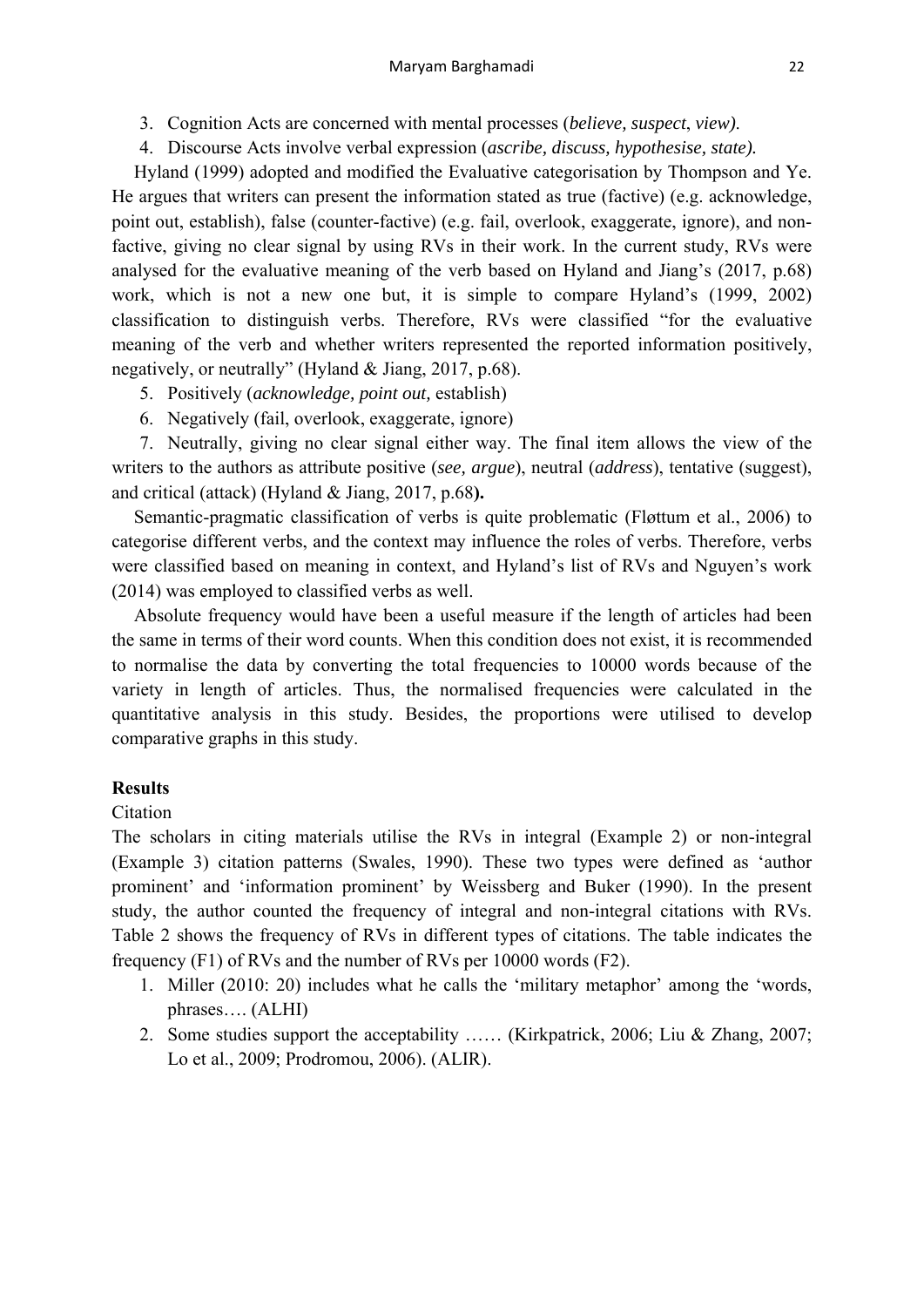- 3. Cognition Acts are concerned with mental processes (*believe, suspect*, *view)*.
- 4. Discourse Acts involve verbal expression (*ascribe, discuss, hypothesise, state).*

Hyland (1999) adopted and modified the Evaluative categorisation by Thompson and Ye. He argues that writers can present the information stated as true (factive) (e.g. acknowledge, point out, establish), false (counter-factive) (e.g. fail, overlook, exaggerate, ignore), and nonfactive, giving no clear signal by using RVs in their work. In the current study, RVs were analysed for the evaluative meaning of the verb based on Hyland and Jiang's (2017, p.68) work, which is not a new one but, it is simple to compare Hyland's (1999, 2002) classification to distinguish verbs. Therefore, RVs were classified "for the evaluative meaning of the verb and whether writers represented the reported information positively, negatively, or neutrally" (Hyland & Jiang, 2017, p.68).

- 5. Positively (*acknowledge, point out,* establish)
- 6. Negatively (fail, overlook, exaggerate, ignore)

7. Neutrally, giving no clear signal either way. The final item allows the view of the writers to the authors as attribute positive (*see, argue*), neutral (*address*), tentative (suggest), and critical (attack) (Hyland & Jiang, 2017, p.68**).** 

Semantic-pragmatic classification of verbs is quite problematic (Fløttum et al., 2006) to categorise different verbs, and the context may influence the roles of verbs. Therefore, verbs were classified based on meaning in context, and Hyland's list of RVs and Nguyen's work (2014) was employed to classified verbs as well.

Absolute frequency would have been a useful measure if the length of articles had been the same in terms of their word counts. When this condition does not exist, it is recommended to normalise the data by converting the total frequencies to 10000 words because of the variety in length of articles. Thus, the normalised frequencies were calculated in the quantitative analysis in this study. Besides, the proportions were utilised to develop comparative graphs in this study.

# **Results**

# Citation

The scholars in citing materials utilise the RVs in integral (Example 2) or non-integral (Example 3) citation patterns (Swales, 1990). These two types were defined as 'author prominent' and 'information prominent' by Weissberg and Buker (1990). In the present study, the author counted the frequency of integral and non-integral citations with RVs. Table 2 shows the frequency of RVs in different types of citations. The table indicates the frequency (F1) of RVs and the number of RVs per 10000 words (F2).

- 1. Miller (2010: 20) includes what he calls the 'military metaphor' among the 'words, phrases…. (ALHI)
- 2. Some studies support the acceptability …… (Kirkpatrick, 2006; Liu & Zhang, 2007; Lo et al., 2009; Prodromou, 2006). (ALIR).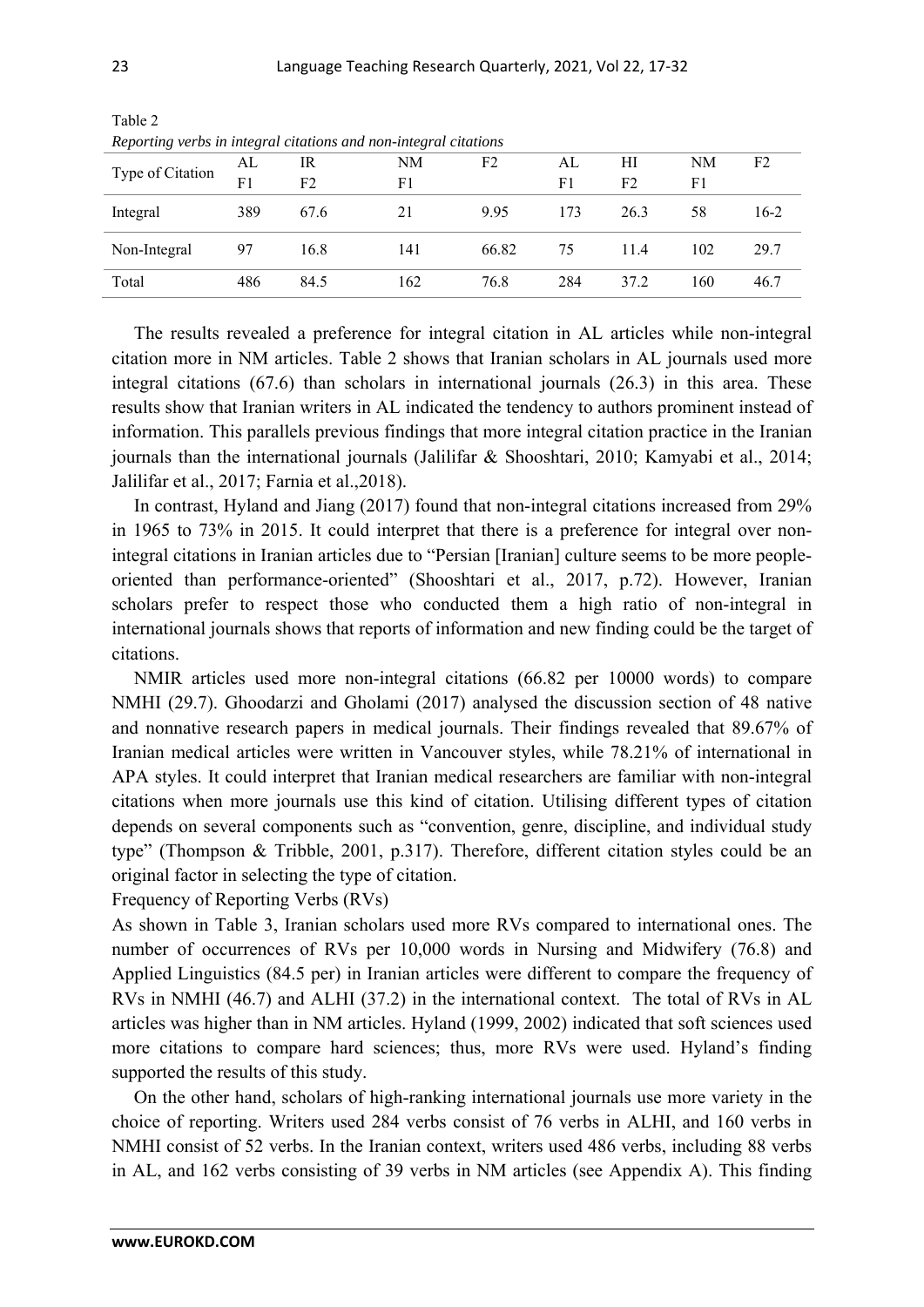| Reporting verbs in integral citations and non-integral citations |                |      |     |       |     |                |     |                |
|------------------------------------------------------------------|----------------|------|-----|-------|-----|----------------|-----|----------------|
| Type of Citation                                                 | AL             | IR   | NΜ  | F2    | AL. | НI             | NΜ  | F <sub>2</sub> |
|                                                                  | F <sub>1</sub> | F2   | F1  |       | F1  | F <sub>2</sub> | F1  |                |
| Integral                                                         | 389            | 67.6 |     | 995   | 173 | 26.3           | 58  | 16-2           |
| Non-Integral                                                     | 97             | 16.8 | 141 | 66.82 | 75  | 114            | 102 | 29.7           |

Total 486 84.5 162 76.8 284 37.2 160 46.7

Table 2

*Reporting verbs in integral citations and non-integral citations*

The results revealed a preference for integral citation in AL articles while non-integral citation more in NM articles. Table 2 shows that Iranian scholars in AL journals used more integral citations (67.6) than scholars in international journals (26.3) in this area. These results show that Iranian writers in AL indicated the tendency to authors prominent instead of information. This parallels previous findings that more integral citation practice in the Iranian journals than the international journals (Jalilifar & Shooshtari, 2010; Kamyabi et al., 2014; Jalilifar et al., 2017; Farnia et al.,2018).

In contrast, Hyland and Jiang (2017) found that non-integral citations increased from 29% in 1965 to 73% in 2015. It could interpret that there is a preference for integral over nonintegral citations in Iranian articles due to "Persian [Iranian] culture seems to be more peopleoriented than performance-oriented" (Shooshtari et al., 2017, p.72). However, Iranian scholars prefer to respect those who conducted them a high ratio of non-integral in international journals shows that reports of information and new finding could be the target of citations.

NMIR articles used more non-integral citations (66.82 per 10000 words) to compare NMHI (29.7). Ghoodarzi and Gholami (2017) analysed the discussion section of 48 native and nonnative research papers in medical journals. Their findings revealed that 89.67% of Iranian medical articles were written in Vancouver styles, while 78.21% of international in APA styles. It could interpret that Iranian medical researchers are familiar with non-integral citations when more journals use this kind of citation. Utilising different types of citation depends on several components such as "convention, genre, discipline, and individual study type" (Thompson & Tribble, 2001, p.317). Therefore, different citation styles could be an original factor in selecting the type of citation.

Frequency of Reporting Verbs (RVs)

As shown in Table 3, Iranian scholars used more RVs compared to international ones. The number of occurrences of RVs per 10,000 words in Nursing and Midwifery (76.8) and Applied Linguistics (84.5 per) in Iranian articles were different to compare the frequency of RVs in NMHI (46.7) and ALHI (37.2) in the international context. The total of RVs in AL articles was higher than in NM articles. Hyland (1999, 2002) indicated that soft sciences used more citations to compare hard sciences; thus, more RVs were used. Hyland's finding supported the results of this study.

On the other hand, scholars of high-ranking international journals use more variety in the choice of reporting. Writers used 284 verbs consist of 76 verbs in ALHI, and 160 verbs in NMHI consist of 52 verbs. In the Iranian context, writers used 486 verbs, including 88 verbs in AL, and 162 verbs consisting of 39 verbs in NM articles (see Appendix A). This finding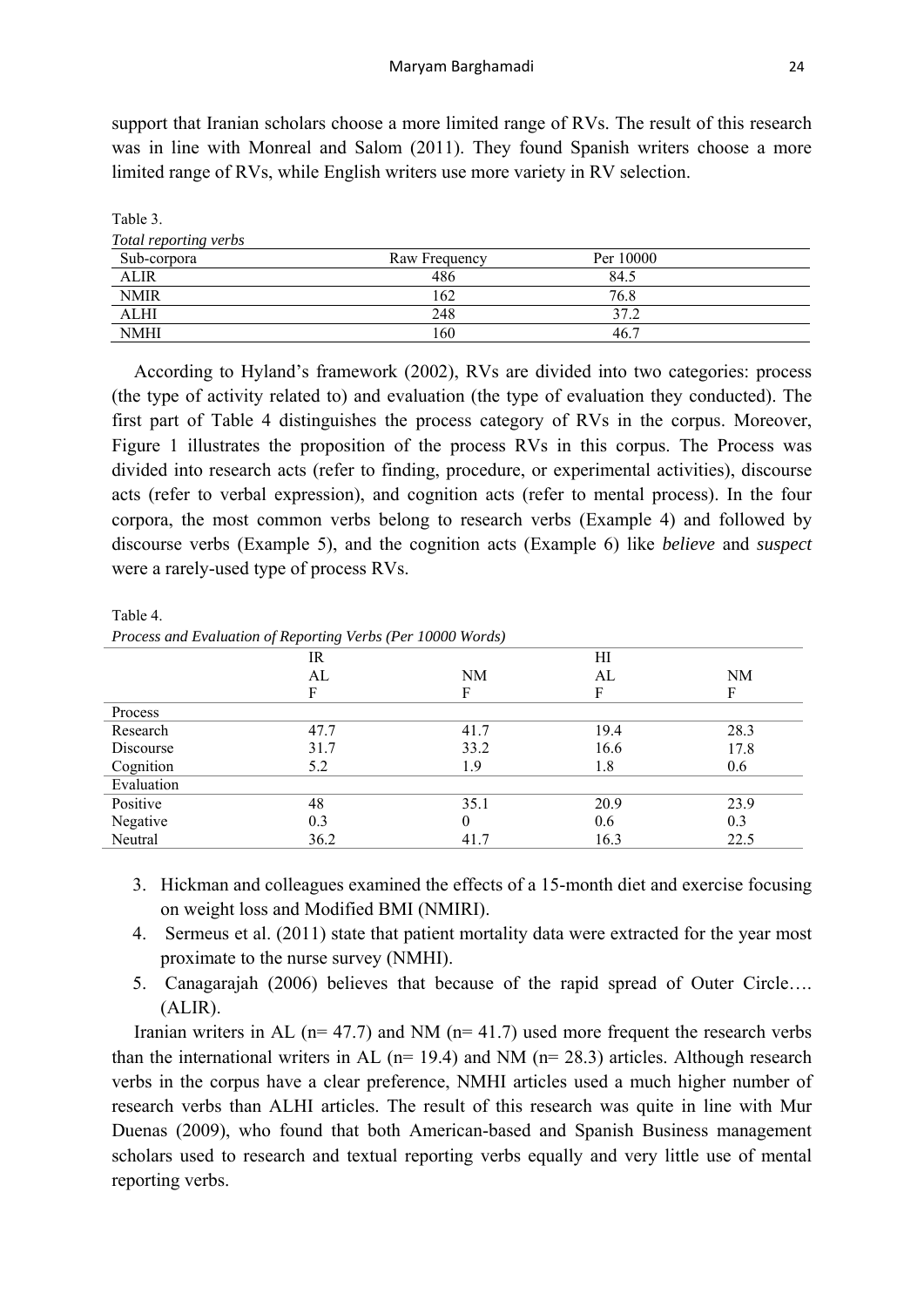support that Iranian scholars choose a more limited range of RVs. The result of this research was in line with Monreal and Salom (2011). They found Spanish writers choose a more limited range of RVs, while English writers use more variety in RV selection.

| Tavit J.              |               |           |  |
|-----------------------|---------------|-----------|--|
| Total reporting verbs |               |           |  |
| Sub-corpora           | Raw Frequency | Per 10000 |  |
| ALIR                  | 486           | 84.5      |  |
| <b>NMIR</b>           | 162           | 76.8      |  |
| ALHI                  | 248           | 37.2      |  |
| <b>NMHI</b>           | 160           | 46.7      |  |

According to Hyland's framework (2002), RVs are divided into two categories: process (the type of activity related to) and evaluation (the type of evaluation they conducted). The first part of Table 4 distinguishes the process category of RVs in the corpus. Moreover, Figure 1 illustrates the proposition of the process RVs in this corpus. The Process was divided into research acts (refer to finding, procedure, or experimental activities), discourse acts (refer to verbal expression), and cognition acts (refer to mental process). In the four corpora, the most common verbs belong to research verbs (Example 4) and followed by discourse verbs (Example 5), and the cognition acts (Example 6) like *believe* and *suspect* were a rarely-used type of process RVs.

Table 4.

Table 3.

*Process and Evaluation of Reporting Verbs (Per 10000 Words)* 

|            | IR   |      | HI   |      |
|------------|------|------|------|------|
|            | AL   | NM   | AL   | NM   |
|            | F    |      |      | F    |
| Process    |      |      |      |      |
| Research   | 47.7 | 41.7 | 19.4 | 28.3 |
| Discourse  | 31.7 | 33.2 | 16.6 | 17.8 |
| Cognition  | 5.2  | 1.9  | 1.8  | 0.6  |
| Evaluation |      |      |      |      |
| Positive   | 48   | 35.1 | 20.9 | 23.9 |
| Negative   | 0.3  |      | 0.6  | 0.3  |
| Neutral    | 36.2 | 41.7 | 16.3 | 22.5 |

- 3. Hickman and colleagues examined the effects of a 15-month diet and exercise focusing on weight loss and Modified BMI (NMIRI).
- 4. Sermeus et al. (2011) state that patient mortality data were extracted for the year most proximate to the nurse survey (NMHI).
- 5. Canagarajah (2006) believes that because of the rapid spread of Outer Circle…. (ALIR).

Iranian writers in AL ( $n= 47.7$ ) and NM ( $n= 41.7$ ) used more frequent the research verbs than the international writers in AL ( $n= 19.4$ ) and NM ( $n= 28.3$ ) articles. Although research verbs in the corpus have a clear preference, NMHI articles used a much higher number of research verbs than ALHI articles. The result of this research was quite in line with Mur Duenas (2009), who found that both American-based and Spanish Business management scholars used to research and textual reporting verbs equally and very little use of mental reporting verbs.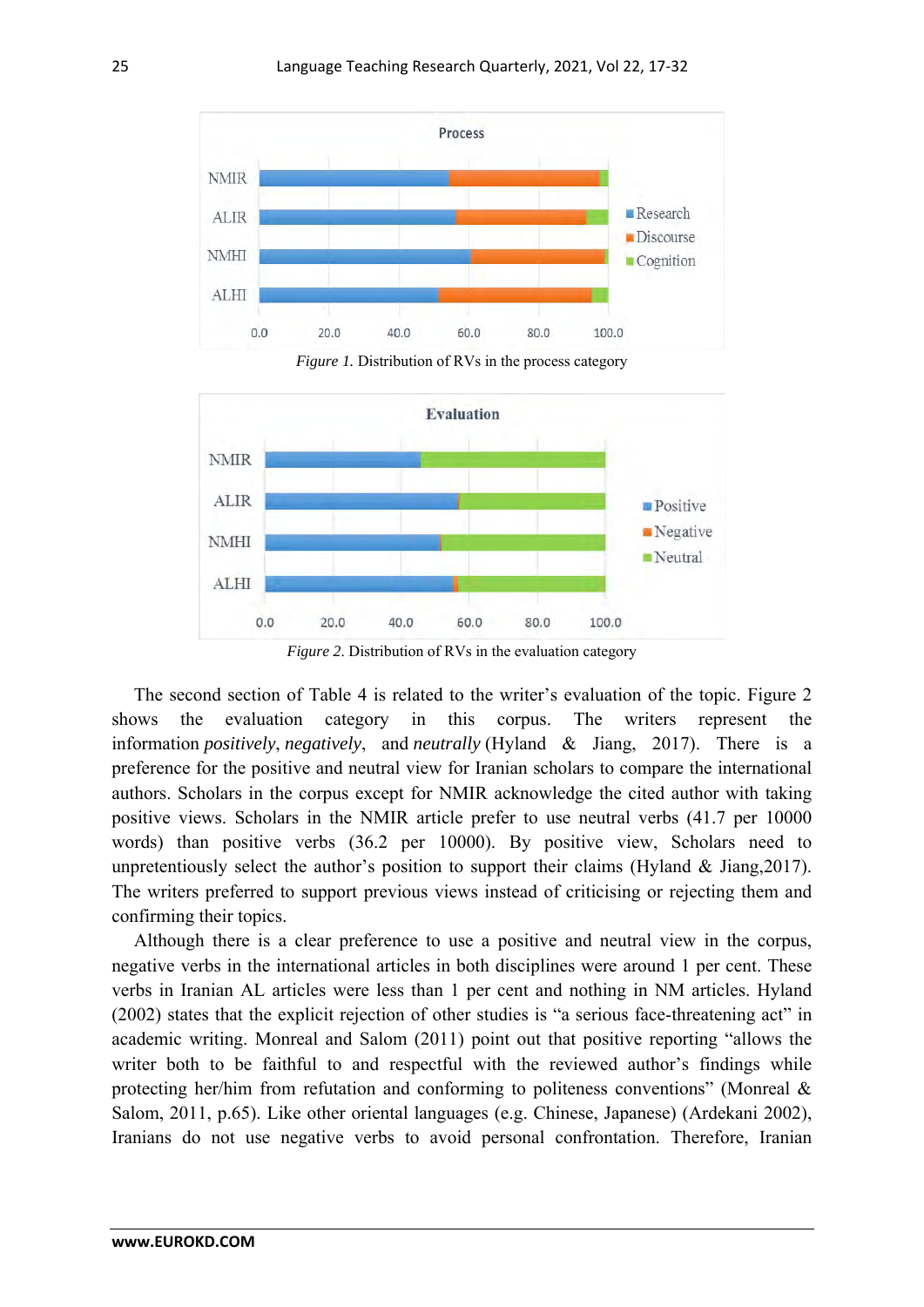

*Figure 1.* Distribution of RVs in the process category



*Figure 2*. Distribution of RVs in the evaluation category

The second section of Table 4 is related to the writer's evaluation of the topic. Figure 2 shows the evaluation category in this corpus. The writers represent the information *positively*, *negatively*, and *neutrally* (Hyland & Jiang, 2017). There is a preference for the positive and neutral view for Iranian scholars to compare the international authors. Scholars in the corpus except for NMIR acknowledge the cited author with taking positive views. Scholars in the NMIR article prefer to use neutral verbs (41.7 per 10000 words) than positive verbs (36.2 per 10000). By positive view, Scholars need to unpretentiously select the author's position to support their claims (Hyland & Jiang,2017). The writers preferred to support previous views instead of criticising or rejecting them and confirming their topics.

Although there is a clear preference to use a positive and neutral view in the corpus, negative verbs in the international articles in both disciplines were around 1 per cent. These verbs in Iranian AL articles were less than 1 per cent and nothing in NM articles. Hyland (2002) states that the explicit rejection of other studies is "a serious face-threatening act" in academic writing. Monreal and Salom (2011) point out that positive reporting "allows the writer both to be faithful to and respectful with the reviewed author's findings while protecting her/him from refutation and conforming to politeness conventions" (Monreal & Salom, 2011, p.65). Like other oriental languages (e.g. Chinese, Japanese) (Ardekani 2002), Iranians do not use negative verbs to avoid personal confrontation. Therefore, Iranian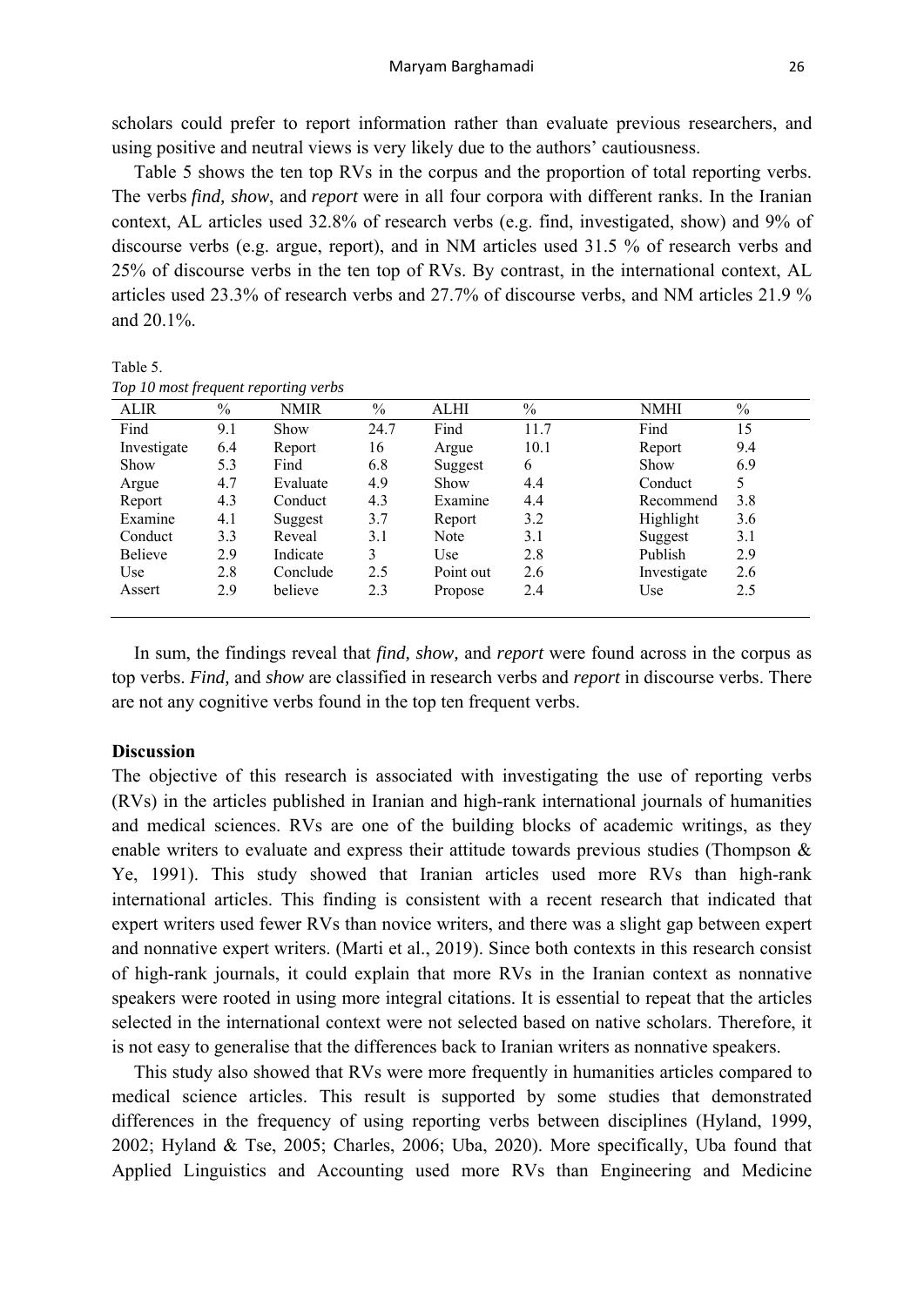scholars could prefer to report information rather than evaluate previous researchers, and using positive and neutral views is very likely due to the authors' cautiousness.

Table 5 shows the ten top RVs in the corpus and the proportion of total reporting verbs. The verbs *find, show*, and *report* were in all four corpora with different ranks. In the Iranian context, AL articles used 32.8% of research verbs (e.g. find, investigated, show) and 9% of discourse verbs (e.g. argue, report), and in NM articles used 31.5 % of research verbs and 25% of discourse verbs in the ten top of RVs. By contrast, in the international context, AL articles used 23.3% of research verbs and 27.7% of discourse verbs, and NM articles 21.9 % and 20.1%.

Table 5.

| Top 10 most frequent reporting verbs |  |
|--------------------------------------|--|
|--------------------------------------|--|

| <b>ALIR</b>    | $\frac{0}{0}$ | <b>NMIR</b> | $\frac{0}{0}$ | ALHI      | $\frac{0}{0}$ | NMHI        | $\frac{0}{0}$ |
|----------------|---------------|-------------|---------------|-----------|---------------|-------------|---------------|
| Find           | 9.1           | Show        | 24.7          | Find      | 11.7          | Find        | 15            |
| Investigate    | 6.4           | Report      | 16            | Argue     | 10.1          | Report      | 9.4           |
| Show           | 5.3           | Find        | 6.8           | Suggest   | 6             | <b>Show</b> | 6.9           |
| Argue          | 4.7           | Evaluate    | 4.9           | Show      | 4.4           | Conduct     |               |
| Report         | 4.3           | Conduct     | 4.3           | Examine   | 4.4           | Recommend   | 3.8           |
| Examine        | 4.1           | Suggest     | 3.7           | Report    | 3.2           | Highlight   | 3.6           |
| Conduct        | 3.3           | Reveal      | 3.1           | Note      | 3.1           | Suggest     | 3.1           |
| <b>Believe</b> | 2.9           | Indicate    | 3             | Use       | 2.8           | Publish     | 2.9           |
| Use            | 2.8           | Conclude    | 2.5           | Point out | 2.6           | Investigate | 2.6           |
| Assert         | 2.9           | believe     | 2.3           | Propose   | 2.4           | Use         | 2.5           |
|                |               |             |               |           |               |             |               |

In sum, the findings reveal that *find, show,* and *report* were found across in the corpus as top verbs. *Find,* and *show* are classified in research verbs and *report* in discourse verbs. There are not any cognitive verbs found in the top ten frequent verbs.

# **Discussion**

The objective of this research is associated with investigating the use of reporting verbs (RVs) in the articles published in Iranian and high-rank international journals of humanities and medical sciences. RVs are one of the building blocks of academic writings, as they enable writers to evaluate and express their attitude towards previous studies (Thompson & Ye, 1991). This study showed that Iranian articles used more RVs than high-rank international articles. This finding is consistent with a recent research that indicated that expert writers used fewer RVs than novice writers, and there was a slight gap between expert and nonnative expert writers. (Marti et al., 2019). Since both contexts in this research consist of high-rank journals, it could explain that more RVs in the Iranian context as nonnative speakers were rooted in using more integral citations. It is essential to repeat that the articles selected in the international context were not selected based on native scholars. Therefore, it is not easy to generalise that the differences back to Iranian writers as nonnative speakers.

This study also showed that RVs were more frequently in humanities articles compared to medical science articles. This result is supported by some studies that demonstrated differences in the frequency of using reporting verbs between disciplines (Hyland, 1999, 2002; Hyland & Tse, 2005; Charles, 2006; Uba, 2020). More specifically, Uba found that Applied Linguistics and Accounting used more RVs than Engineering and Medicine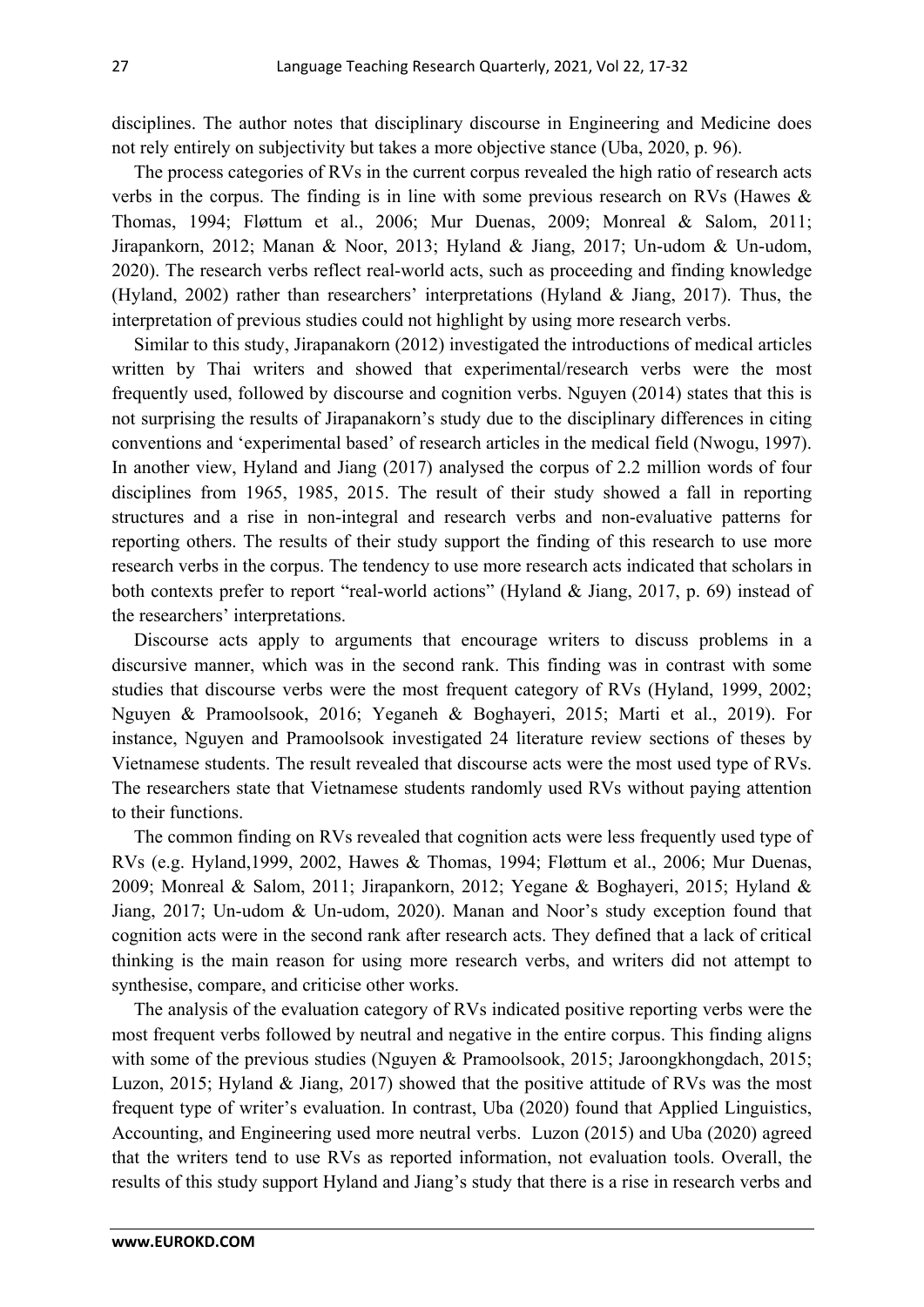disciplines. The author notes that disciplinary discourse in Engineering and Medicine does not rely entirely on subjectivity but takes a more objective stance (Uba, 2020, p. 96).

The process categories of RVs in the current corpus revealed the high ratio of research acts verbs in the corpus. The finding is in line with some previous research on RVs (Hawes & Thomas, 1994; Fløttum et al., 2006; Mur Duenas, 2009; Monreal & Salom, 2011; Jirapankorn, 2012; Manan & Noor, 2013; Hyland & Jiang, 2017; Un-udom & Un-udom, 2020). The research verbs reflect real-world acts, such as proceeding and finding knowledge (Hyland, 2002) rather than researchers' interpretations (Hyland & Jiang, 2017). Thus, the interpretation of previous studies could not highlight by using more research verbs.

Similar to this study, Jirapanakorn (2012) investigated the introductions of medical articles written by Thai writers and showed that experimental/research verbs were the most frequently used, followed by discourse and cognition verbs. Nguyen (2014) states that this is not surprising the results of Jirapanakorn's study due to the disciplinary differences in citing conventions and 'experimental based' of research articles in the medical field (Nwogu, 1997). In another view, Hyland and Jiang (2017) analysed the corpus of 2.2 million words of four disciplines from 1965, 1985, 2015. The result of their study showed a fall in reporting structures and a rise in non-integral and research verbs and non-evaluative patterns for reporting others. The results of their study support the finding of this research to use more research verbs in the corpus. The tendency to use more research acts indicated that scholars in both contexts prefer to report "real-world actions" (Hyland & Jiang, 2017, p. 69) instead of the researchers' interpretations.

Discourse acts apply to arguments that encourage writers to discuss problems in a discursive manner, which was in the second rank. This finding was in contrast with some studies that discourse verbs were the most frequent category of RVs (Hyland, 1999, 2002; Nguyen & Pramoolsook, 2016; Yeganeh & Boghayeri, 2015; Marti et al., 2019). For instance, Nguyen and Pramoolsook investigated 24 literature review sections of theses by Vietnamese students. The result revealed that discourse acts were the most used type of RVs. The researchers state that Vietnamese students randomly used RVs without paying attention to their functions.

The common finding on RVs revealed that cognition acts were less frequently used type of RVs (e.g. Hyland,1999, 2002, Hawes & Thomas, 1994; Fløttum et al., 2006; Mur Duenas, 2009; Monreal & Salom, 2011; Jirapankorn, 2012; Yegane & Boghayeri, 2015; Hyland & Jiang, 2017; Un-udom & Un-udom, 2020). Manan and Noor's study exception found that cognition acts were in the second rank after research acts. They defined that a lack of critical thinking is the main reason for using more research verbs, and writers did not attempt to synthesise, compare, and criticise other works.

The analysis of the evaluation category of RVs indicated positive reporting verbs were the most frequent verbs followed by neutral and negative in the entire corpus. This finding aligns with some of the previous studies (Nguyen & Pramoolsook, 2015; Jaroongkhongdach, 2015; Luzon, 2015; Hyland & Jiang, 2017) showed that the positive attitude of RVs was the most frequent type of writer's evaluation. In contrast, Uba (2020) found that Applied Linguistics, Accounting, and Engineering used more neutral verbs. Luzon (2015) and Uba (2020) agreed that the writers tend to use RVs as reported information, not evaluation tools. Overall, the results of this study support Hyland and Jiang's study that there is a rise in research verbs and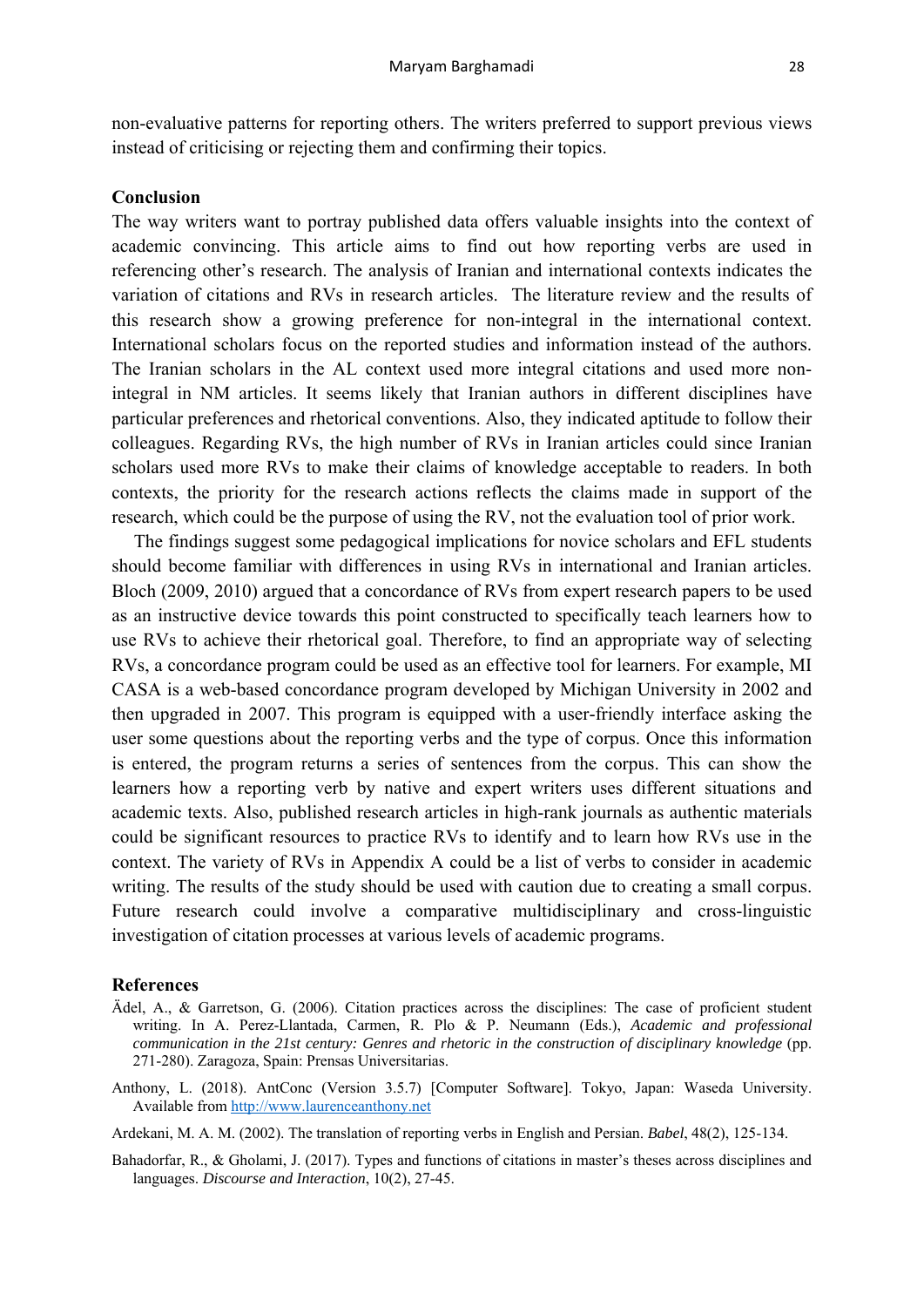non-evaluative patterns for reporting others. The writers preferred to support previous views instead of criticising or rejecting them and confirming their topics.

# **Conclusion**

The way writers want to portray published data offers valuable insights into the context of academic convincing. This article aims to find out how reporting verbs are used in referencing other's research. The analysis of Iranian and international contexts indicates the variation of citations and RVs in research articles. The literature review and the results of this research show a growing preference for non-integral in the international context. International scholars focus on the reported studies and information instead of the authors. The Iranian scholars in the AL context used more integral citations and used more nonintegral in NM articles. It seems likely that Iranian authors in different disciplines have particular preferences and rhetorical conventions. Also, they indicated aptitude to follow their colleagues. Regarding RVs, the high number of RVs in Iranian articles could since Iranian scholars used more RVs to make their claims of knowledge acceptable to readers. In both contexts, the priority for the research actions reflects the claims made in support of the research, which could be the purpose of using the RV, not the evaluation tool of prior work.

The findings suggest some pedagogical implications for novice scholars and EFL students should become familiar with differences in using RVs in international and Iranian articles. Bloch (2009, 2010) argued that a concordance of RVs from expert research papers to be used as an instructive device towards this point constructed to specifically teach learners how to use RVs to achieve their rhetorical goal. Therefore, to find an appropriate way of selecting RVs, a concordance program could be used as an effective tool for learners. For example, MI CASA is a web-based concordance program developed by Michigan University in 2002 and then upgraded in 2007. This program is equipped with a user-friendly interface asking the user some questions about the reporting verbs and the type of corpus. Once this information is entered, the program returns a series of sentences from the corpus. This can show the learners how a reporting verb by native and expert writers uses different situations and academic texts. Also, published research articles in high-rank journals as authentic materials could be significant resources to practice RVs to identify and to learn how RVs use in the context. The variety of RVs in Appendix A could be a list of verbs to consider in academic writing. The results of the study should be used with caution due to creating a small corpus. Future research could involve a comparative multidisciplinary and cross-linguistic investigation of citation processes at various levels of academic programs.

#### **References**

- Ädel, A., & Garretson, G. (2006). Citation practices across the disciplines: The case of proficient student writing. In A. Perez-Llantada, Carmen, R. Plo & P. Neumann (Eds.), *Academic and professional communication in the 21st century: Genres and rhetoric in the construction of disciplinary knowledge* (pp. 271-280). Zaragoza, Spain: Prensas Universitarias.
- Anthony, L. (2018). AntConc (Version 3.5.7) [Computer Software]. Tokyo, Japan: Waseda University. Available from http://www.laurenceanthony.net
- Ardekani, M. A. M. (2002). The translation of reporting verbs in English and Persian. *Babel*, 48(2), 125-134.
- Bahadorfar, R., & Gholami, J. (2017). Types and functions of citations in master's theses across disciplines and languages. *Discourse and Interaction*, 10(2), 27-45.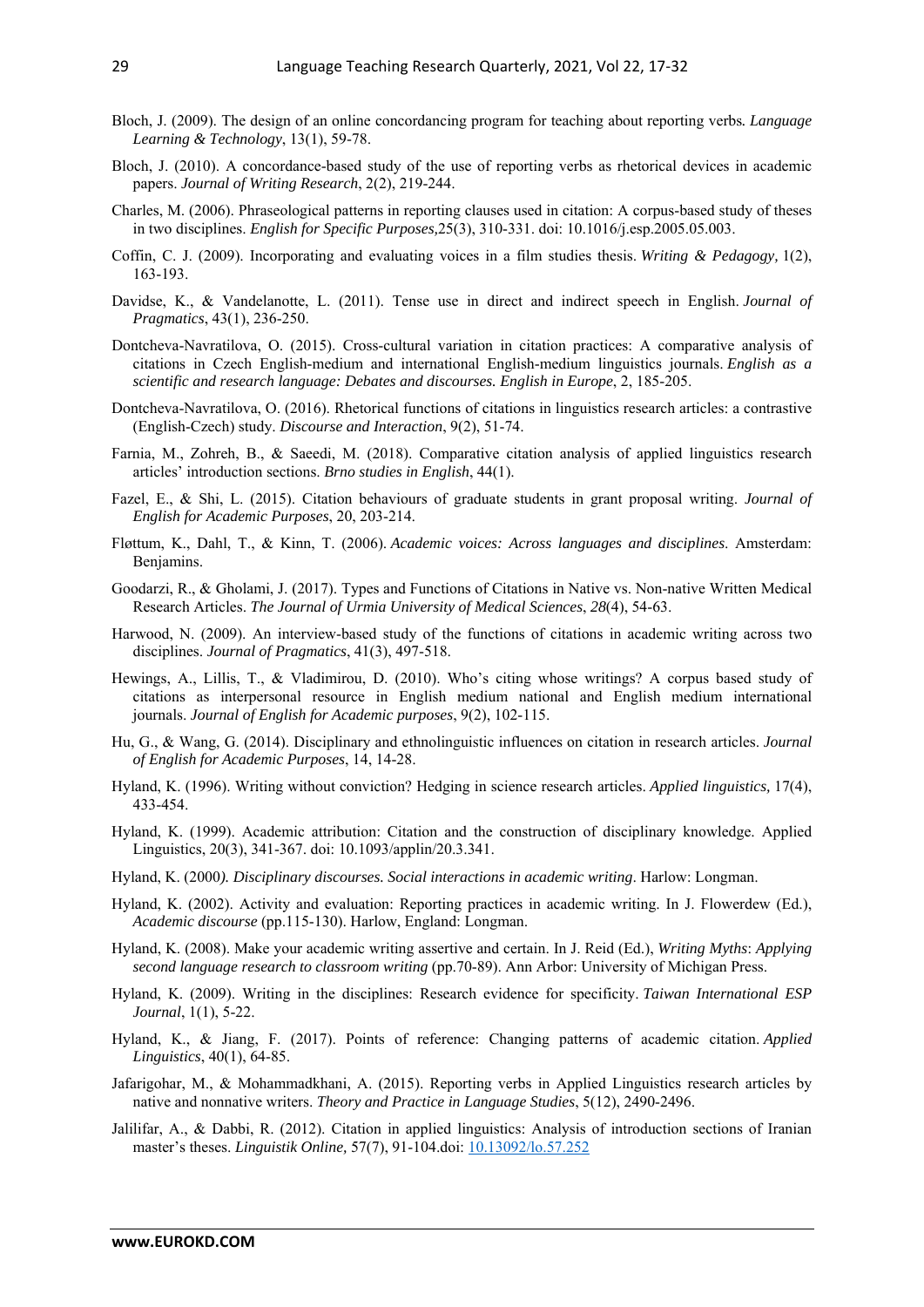- Bloch, J. (2009). The design of an online concordancing program for teaching about reporting verbs*. Language Learning & Technology*, 13(1), 59-78.
- Bloch, J. (2010). A concordance-based study of the use of reporting verbs as rhetorical devices in academic papers. *Journal of Writing Research*, 2(2), 219-244.
- Charles, M. (2006). Phraseological patterns in reporting clauses used in citation: A corpus-based study of theses in two disciplines. *English for Specific Purposes,*25(3), 310-331. doi: 10.1016/j.esp.2005.05.003.
- Coffin, C. J. (2009). Incorporating and evaluating voices in a film studies thesis. *Writing & Pedagogy,* 1(2), 163-193.
- Davidse, K., & Vandelanotte, L. (2011). Tense use in direct and indirect speech in English. *Journal of Pragmatics*, 43(1), 236-250.
- Dontcheva-Navratilova, O. (2015). Cross-cultural variation in citation practices: A comparative analysis of citations in Czech English-medium and international English-medium linguistics journals. *English as a scientific and research language: Debates and discourses. English in Europe*, 2, 185-205.
- Dontcheva-Navratilova, O. (2016). Rhetorical functions of citations in linguistics research articles: a contrastive (English-Czech) study. *Discourse and Interaction*, 9(2), 51-74.
- Farnia, M., Zohreh, B., & Saeedi, M. (2018). Comparative citation analysis of applied linguistics research articles' introduction sections. *Brno studies in English*, 44(1).
- Fazel, E., & Shi, L. (2015). Citation behaviours of graduate students in grant proposal writing. *Journal of English for Academic Purposes*, 20, 203-214.
- Fløttum, K., Dahl, T., & Kinn, T. (2006). *Academic voices: Across languages and disciplines*. Amsterdam: Benjamins.
- Goodarzi, R., & Gholami, J. (2017). Types and Functions of Citations in Native vs. Non-native Written Medical Research Articles. *The Journal of Urmia University of Medical Sciences*, *28*(4), 54-63.
- Harwood, N. (2009). An interview-based study of the functions of citations in academic writing across two disciplines. *Journal of Pragmatics*, 41(3), 497-518.
- Hewings, A., Lillis, T., & Vladimirou, D. (2010). Who's citing whose writings? A corpus based study of citations as interpersonal resource in English medium national and English medium international journals. *Journal of English for Academic purposes*, 9(2), 102-115.
- Hu, G., & Wang, G. (2014). Disciplinary and ethnolinguistic influences on citation in research articles. *Journal of English for Academic Purposes*, 14, 14-28.
- Hyland, K. (1996). Writing without conviction? Hedging in science research articles. *Applied linguistics,* 17(4), 433-454.
- Hyland, K. (1999). Academic attribution: Citation and the construction of disciplinary knowledge. Applied Linguistics, 20(3), 341-367. doi: 10.1093/applin/20.3.341.
- Hyland, K. (2000*). Disciplinary discourses. Social interactions in academic writing*. Harlow: Longman.
- Hyland, K. (2002). Activity and evaluation: Reporting practices in academic writing. In J. Flowerdew (Ed.), *Academic discourse* (pp.115-130). Harlow, England: Longman.
- Hyland, K. (2008). Make your academic writing assertive and certain. In J. Reid (Ed.), *Writing Myths*: *Applying second language research to classroom writing* (pp.70-89). Ann Arbor: University of Michigan Press.
- Hyland, K. (2009). Writing in the disciplines: Research evidence for specificity. *Taiwan International ESP Journal*, 1(1), 5-22.
- Hyland, K., & Jiang, F. (2017). Points of reference: Changing patterns of academic citation. *Applied Linguistics*, 40(1), 64-85.
- Jafarigohar, M., & Mohammadkhani, A. (2015). Reporting verbs in Applied Linguistics research articles by native and nonnative writers. *Theory and Practice in Language Studies*, 5(12), 2490-2496.
- Jalilifar, A., & Dabbi, R. (2012). Citation in applied linguistics: Analysis of introduction sections of Iranian master's theses. *Linguistik Online,* 57(7), 91-104.doi: 10.13092/lo.57.252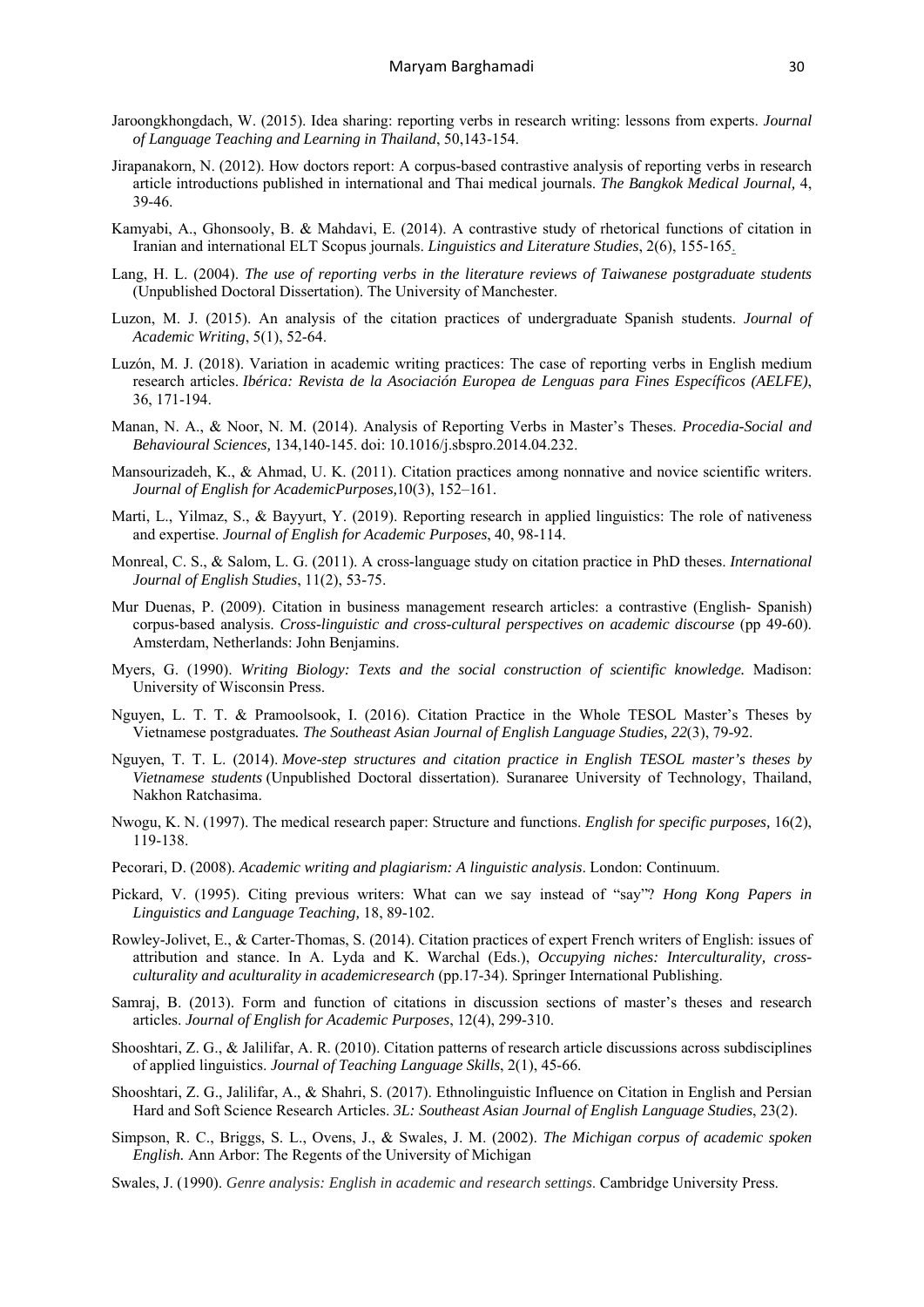- Jaroongkhongdach, W. (2015). Idea sharing: reporting verbs in research writing: lessons from experts. *Journal of Language Teaching and Learning in Thailand*, 50,143-154.
- Jirapanakorn, N. (2012). How doctors report: A corpus-based contrastive analysis of reporting verbs in research article introductions published in international and Thai medical journals. *The Bangkok Medical Journal,* 4, 39-46.
- Kamyabi, A., Ghonsooly, B. & Mahdavi, E. (2014). A contrastive study of rhetorical functions of citation in Iranian and international ELT Scopus journals. *Linguistics and Literature Studies*, 2(6), 155-165.
- Lang, H. L. (2004). *The use of reporting verbs in the literature reviews of Taiwanese postgraduate students* (Unpublished Doctoral Dissertation). The University of Manchester.
- Luzon, M. J. (2015). An analysis of the citation practices of undergraduate Spanish students. *Journal of Academic Writing*, 5(1), 52-64.
- Luzón, M. J. (2018). Variation in academic writing practices: The case of reporting verbs in English medium research articles. *Ibérica: Revista de la Asociación Europea de Lenguas para Fines Específicos (AELFE)*, 36, 171-194.
- Manan, N. A., & Noor, N. M. (2014). Analysis of Reporting Verbs in Master's Theses. *Procedia-Social and Behavioural Sciences,* 134,140-145. doi: 10.1016/j.sbspro.2014.04.232.
- Mansourizadeh, K., & Ahmad, U. K. (2011). Citation practices among nonnative and novice scientific writers. *Journal of English for AcademicPurposes,*10(3), 152–161.
- Marti, L., Yilmaz, S., & Bayyurt, Y. (2019). Reporting research in applied linguistics: The role of nativeness and expertise. *Journal of English for Academic Purposes*, 40, 98-114.
- Monreal, C. S., & Salom, L. G. (2011). A cross-language study on citation practice in PhD theses. *International Journal of English Studies*, 11(2), 53-75.
- Mur Duenas, P. (2009). Citation in business management research articles: a contrastive (English- Spanish) corpus-based analysis. *Cross-linguistic and cross-cultural perspectives on academic discourse* (pp 49-60). Amsterdam, Netherlands: John Benjamins.
- Myers, G. (1990). *Writing Biology: Texts and the social construction of scientific knowledge.* Madison: University of Wisconsin Press.
- Nguyen, L. T. T. & Pramoolsook, I. (2016). Citation Practice in the Whole TESOL Master's Theses by Vietnamese postgraduates*. The Southeast Asian Journal of English Language Studies, 22*(3), 79-92.
- Nguyen, T. T. L. (2014). *Move-step structures and citation practice in English TESOL master's theses by Vietnamese students* (Unpublished Doctoral dissertation). Suranaree University of Technology, Thailand, Nakhon Ratchasima.
- Nwogu, K. N. (1997). The medical research paper: Structure and functions. *English for specific purposes,* 16(2), 119-138.
- Pecorari, D. (2008). *Academic writing and plagiarism: A linguistic analysis*. London: Continuum.
- Pickard, V. (1995). Citing previous writers: What can we say instead of "say"? *Hong Kong Papers in Linguistics and Language Teaching,* 18, 89-102.
- Rowley-Jolivet, E., & Carter-Thomas, S. (2014). Citation practices of expert French writers of English: issues of attribution and stance. In A. Lyda and K. Warchal (Eds.), *Occupying niches: Interculturality, crossculturality and aculturality in academicresearch* (pp.17-34). Springer International Publishing.
- Samraj, B. (2013). Form and function of citations in discussion sections of master's theses and research articles. *Journal of English for Academic Purposes*, 12(4), 299-310.
- Shooshtari, Z. G., & Jalilifar, A. R. (2010). Citation patterns of research article discussions across subdisciplines of applied linguistics. *Journal of Teaching Language Skills*, 2(1), 45-66.
- Shooshtari, Z. G., Jalilifar, A., & Shahri, S. (2017). Ethnolinguistic Influence on Citation in English and Persian Hard and Soft Science Research Articles. *3L: Southeast Asian Journal of English Language Studies*, 23(2).
- Simpson, R. C., Briggs, S. L., Ovens, J., & Swales, J. M. (2002). *The Michigan corpus of academic spoken English.* Ann Arbor: The Regents of the University of Michigan
- Swales, J. (1990). *Genre analysis: English in academic and research settings*. Cambridge University Press.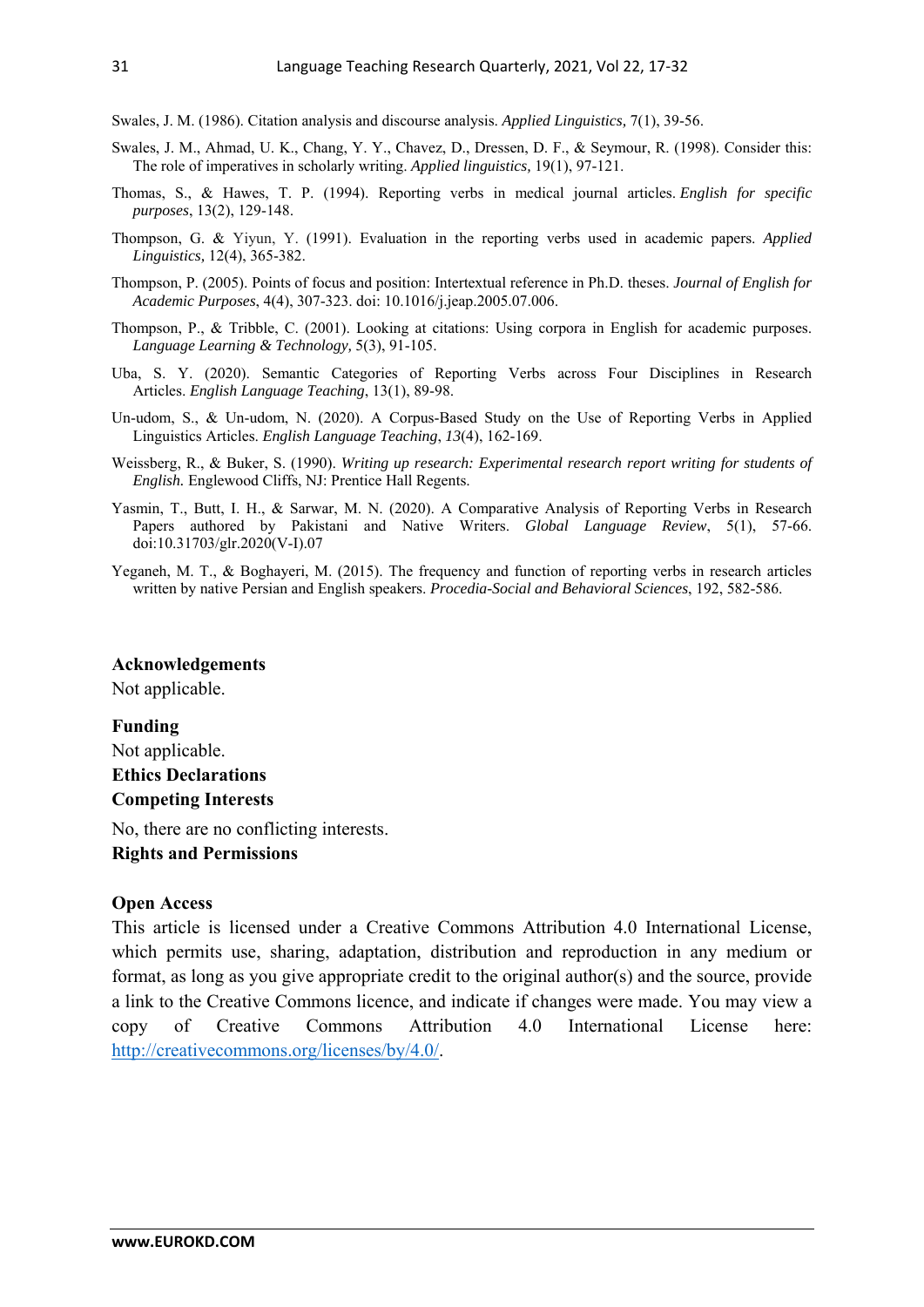Swales, J. M. (1986). Citation analysis and discourse analysis. *Applied Linguistics,* 7(1), 39-56.

- Swales, J. M., Ahmad, U. K., Chang, Y. Y., Chavez, D., Dressen, D. F., & Seymour, R. (1998). Consider this: The role of imperatives in scholarly writing. *Applied linguistics,* 19(1), 97-121.
- Thomas, S., & Hawes, T. P. (1994). Reporting verbs in medical journal articles. *English for specific purposes*, 13(2), 129-148.
- Thompson, G. & Yiyun, Y. (1991). Evaluation in the reporting verbs used in academic papers. *Applied Linguistics,* 12(4), 365-382.
- Thompson, P. (2005). Points of focus and position: Intertextual reference in Ph.D. theses. *Journal of English for Academic Purposes*, 4(4), 307-323. doi: 10.1016/j.jeap.2005.07.006.
- Thompson, P., & Tribble, C. (2001). Looking at citations: Using corpora in English for academic purposes. *Language Learning & Technology,* 5(3), 91-105.
- Uba, S. Y. (2020). Semantic Categories of Reporting Verbs across Four Disciplines in Research Articles. *English Language Teaching*, 13(1), 89-98.
- Un-udom, S., & Un-udom, N. (2020). A Corpus-Based Study on the Use of Reporting Verbs in Applied Linguistics Articles. *English Language Teaching*, *13*(4), 162-169.
- Weissberg, R., & Buker, S. (1990). *Writing up research: Experimental research report writing for students of English.* Englewood Cliffs, NJ: Prentice Hall Regents.
- Yasmin, T., Butt, I. H., & Sarwar, M. N. (2020). A Comparative Analysis of Reporting Verbs in Research Papers authored by Pakistani and Native Writers. *Global Language Review*, 5(1), 57-66. doi:10.31703/glr.2020(V-I).07
- Yeganeh, M. T., & Boghayeri, M. (2015). The frequency and function of reporting verbs in research articles written by native Persian and English speakers. *Procedia-Social and Behavioral Sciences*, 192, 582-586.

# **Acknowledgements**

Not applicable.

### **Funding**

Not applicable. **Ethics Declarations Competing Interests** 

No, there are no conflicting interests.

**Rights and Permissions** 

#### **Open Access**

This article is licensed under a Creative Commons Attribution 4.0 International License, which permits use, sharing, adaptation, distribution and reproduction in any medium or format, as long as you give appropriate credit to the original author(s) and the source, provide a link to the Creative Commons licence, and indicate if changes were made. You may view a copy of Creative Commons Attribution 4.0 International License here: http://creativecommons.org/licenses/by/4.0/.